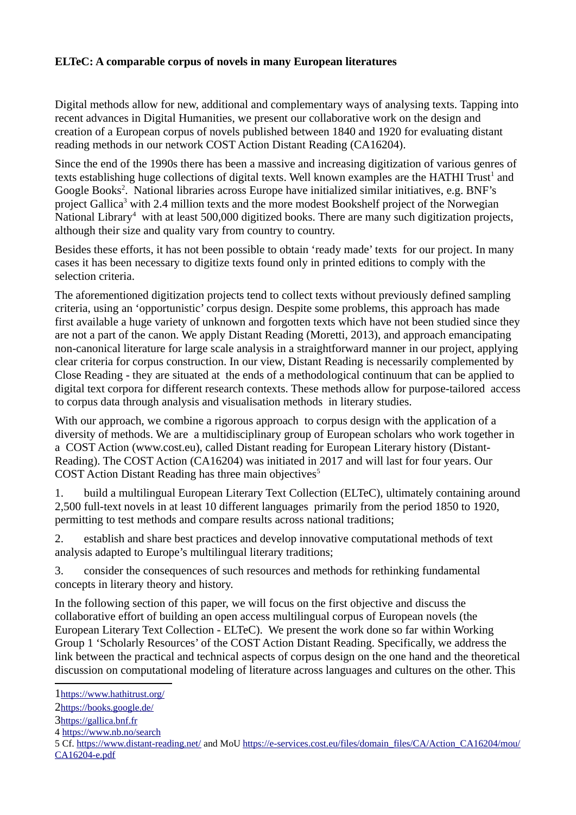## **ELTeC: A comparable corpus of novels in many European literatures**

Digital methods allow for new, additional and complementary ways of analysing texts. Tapping into recent advances in Digital Humanities, we present our collaborative work on the design and creation of a European corpus of novels published between 1840 and 1920 for evaluating distant reading methods in our network COST Action Distant Reading (CA16204).

Since the end of the 1990s there has been a massive and increasing digitization of various genres of texts establishing huge collections of digital texts. Well known examples are the HATHI Trust<sup>[1](#page-0-0)</sup> and Google Books<sup>[2](#page-0-1)</sup>. National libraries across Europe have initialized similar initiatives, e.g. BNF's project Gallica<sup>[3](#page-0-2)</sup> with 2.4 million texts and the more modest Bookshelf project of the Norwegian National Library<sup>[4](#page-0-3)</sup> with at least 500,000 digitized books. There are many such digitization projects, although their size and quality vary from country to country.

Besides these efforts, it has not been possible to obtain 'ready made' texts for our project. In many cases it has been necessary to digitize texts found only in printed editions to comply with the selection criteria.

The aforementioned digitization projects tend to collect texts without previously defined sampling criteria, using an 'opportunistic' corpus design. Despite some problems, this approach has made first available a huge variety of unknown and forgotten texts which have not been studied since they are not a part of the canon. We apply Distant Reading (Moretti, 2013), and approach emancipating non-canonical literature for large scale analysis in a straightforward manner in our project, applying clear criteria for corpus construction. In our view, Distant Reading is necessarily complemented by Close Reading - they are situated at the ends of a methodological continuum that can be applied to digital text corpora for different research contexts. These methods allow for purpose-tailored access to corpus data through analysis and visualisation methods in literary studies.

With our approach, we combine a rigorous approach to corpus design with the application of a diversity of methods. We are a multidisciplinary group of European scholars who work together in a COST Action (www.cost.eu), called Distant reading for European Literary history (Distant-Reading). The COST Action (CA16204) was initiated in 2017 and will last for four years. Our COST Action Distant Reading has three main objectives $5$ 

1. build a multilingual European Literary Text Collection (ELTeC), ultimately containing around 2,500 full-text novels in at least 10 different languages primarily from the period 1850 to 1920, permitting to test methods and compare results across national traditions;

2. establish and share best practices and develop innovative computational methods of text analysis adapted to Europe's multilingual literary traditions;

3. consider the consequences of such resources and methods for rethinking fundamental concepts in literary theory and history.

In the following section of this paper, we will focus on the first objective and discuss the collaborative effort of building an open access multilingual corpus of European novels (the European Literary Text Collection - ELTeC). We present the work done so far within Working Group 1 'Scholarly Resources' of the COST Action Distant Reading. Specifically, we address the link between the practical and technical aspects of corpus design on the one hand and the theoretical discussion on computational modeling of literature across languages and cultures on the other. This

<span id="page-0-0"></span><sup>1</sup><https://www.hathitrust.org/>

<span id="page-0-1"></span><sup>2</sup><https://books.google.de/>

<span id="page-0-2"></span><sup>3</sup>https://gallica.bnf.fr

<span id="page-0-3"></span><sup>4</sup> <https://www.nb.no/search>

<span id="page-0-4"></span><sup>5</sup> Cf.<https://www.distant-reading.net/> and MoU [https://e-services.cost.eu/files/domain\\_files/CA/Action\\_CA16204/mou/](https://e-services.cost.eu/files/domain_files/CA/Action_CA16204/mou/CA16204-e.pdf) [CA16204-e.pdf](https://e-services.cost.eu/files/domain_files/CA/Action_CA16204/mou/CA16204-e.pdf)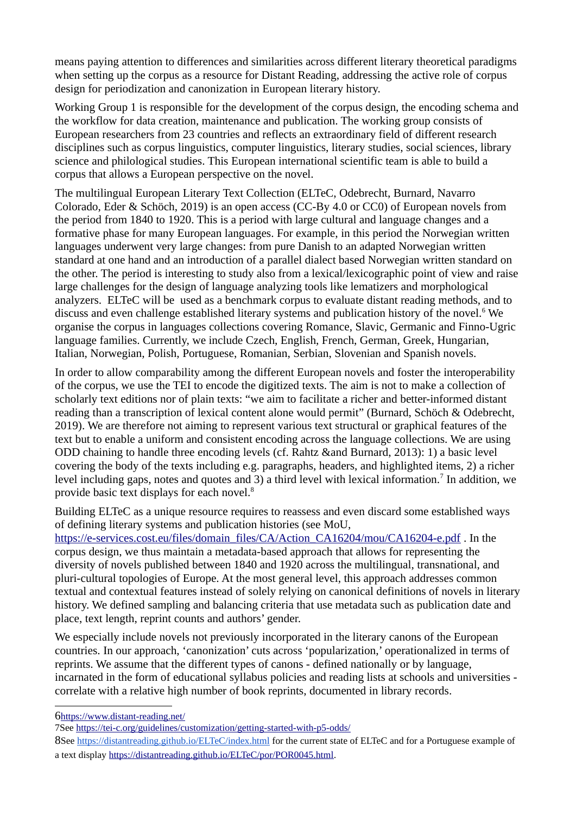means paying attention to differences and similarities across different literary theoretical paradigms when setting up the corpus as a resource for Distant Reading, addressing the active role of corpus design for periodization and canonization in European literary history.

Working Group 1 is responsible for the development of the corpus design, the encoding schema and the workflow for data creation, maintenance and publication. The working group consists of European researchers from 23 countries and reflects an extraordinary field of different research disciplines such as corpus linguistics, computer linguistics, literary studies, social sciences, library science and philological studies. This European international scientific team is able to build a corpus that allows a European perspective on the novel.

The multilingual European Literary Text Collection (ELTeC, Odebrecht, Burnard, Navarro Colorado, Eder & Schöch, 2019) is an open access (CC-By 4.0 or CC0) of European novels from the period from 1840 to 1920. This is a period with large cultural and language changes and a formative phase for many European languages. For example, in this period the Norwegian written languages underwent very large changes: from pure Danish to an adapted Norwegian written standard at one hand and an introduction of a parallel dialect based Norwegian written standard on the other. The period is interesting to study also from a lexical/lexicographic point of view and raise large challenges for the design of language analyzing tools like lematizers and morphological analyzers. ELTeC will be used as a benchmark corpus to evaluate distant reading methods, and to discuss and even challenge established literary systems and publication history of the novel.<sup>[6](#page-1-0)</sup> We organise the corpus in languages collections covering Romance, Slavic, Germanic and Finno-Ugric language families. Currently, we include Czech, English, French, German, Greek, Hungarian, Italian, Norwegian, Polish, Portuguese, Romanian, Serbian, Slovenian and Spanish novels.

In order to allow comparability among the different European novels and foster the interoperability of the corpus, we use the TEI to encode the digitized texts. The aim is not to make a collection of scholarly text editions nor of plain texts: "we aim to facilitate a richer and better-informed distant reading than a transcription of lexical content alone would permit" (Burnard, Schöch & Odebrecht, 2019). We are therefore not aiming to represent various text structural or graphical features of the text but to enable a uniform and consistent encoding across the language collections. We are using ODD chaining to handle three encoding levels (cf. Rahtz &and Burnard, 2013): 1) a basic level covering the body of the texts including e.g. paragraphs, headers, and highlighted items, 2) a richer level including gaps, notes and quotes and 3) a third level with lexical information.<sup>[7](#page-1-1)</sup> In addition, we provide basic text displays for each novel.<sup>[8](#page-1-2)</sup>

Building ELTeC as a unique resource requires to reassess and even discard some established ways of defining literary systems and publication histories (see MoU,

[https://e-services.cost.eu/files/domain\\_files/CA/Action\\_CA16204/mou/CA16204-e.pdf](https://e-services.cost.eu/files/domain_files/CA/Action_CA16204/mou/CA16204-e.pdf) . In the corpus design, we thus maintain a metadata-based approach that allows for representing the diversity of novels published between 1840 and 1920 across the multilingual, transnational, and pluri-cultural topologies of Europe. At the most general level, this approach addresses common textual and contextual features instead of solely relying on canonical definitions of novels in literary history. We defined sampling and balancing criteria that use metadata such as publication date and place, text length, reprint counts and authors' gender.

We especially include novels not previously incorporated in the literary canons of the European countries. In our approach, 'canonization' cuts across 'popularization,' operationalized in terms of reprints. We assume that the different types of canons - defined nationally or by language, incarnated in the form of educational syllabus policies and reading lists at schools and universities correlate with a relative high number of book reprints, documented in library records.

<span id="page-1-0"></span>6<https://www.distant-reading.net/>

<span id="page-1-1"></span><sup>7</sup>See <https://tei-c.org/guidelines/customization/getting-started-with-p5-odds/>

<span id="page-1-2"></span><sup>8</sup>See <https://distantreading.github.io/ELTeC/index.html> for the current state of ELTeC and for a Portuguese example of a text display<https://distantreading.github.io/ELTeC/por/POR0045.html>.